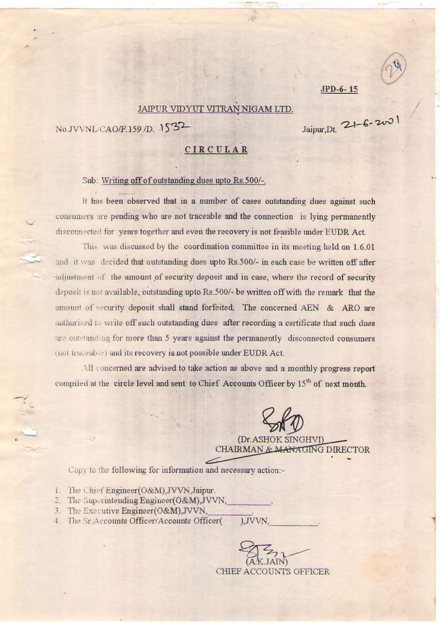## JPD-6-15

## JAIPUR VIDYUT VITRAN NIGAM LTD.

No.JVVNL CAO/F.159 /D. 1532

Jaipur, Dt.  $21 - 6 - 2001$ 

## CIRCULAR

## Sub: Writing off of outstanding dues upto Rs.500/-.

It has been observed that in a number of cases outstanding dues against such consumers are pending who are not traceable and the connection is lying permanently disconnected for years together and even the recovery is not feasible under EUDR Act.

This was discussed by the coordination committee in its meeting held on 1.6.01 and it was decided that outstanding dues upto Rs.500/- in each case be written off after adjustment of the amount of security deposit and in case, where the record of security deposit is not available, outstanding upto Rs.500/- be written off with the remark that the amount of security deposit shall stand forfeited. The concerned AEN & ARO are authorised to write off such outstanding dues after recording a certificate that such dues are outstanding for more than 5 years against the permanently disconnected consumers (not traceable) and its recovery is not possible under EUDR Act.

All concerned are advised to take action as above and a monthly progress report compiled at the circle level and sent to Chief Accounts Officer by 15<sup>th</sup> of next month.

> (Dr. ASHOK SINGHVI **CHAIRMAN & MANAGING DIRECTOR**

Copy to the following for information and necessary action:-

- 1. The Chief Engineer(O&M), JVVN, Jaipur.
- 2. The Superintending Engineer(O&M), JVVN,
- 3. The Executive Engineer(O&M),JVVN,
- 4. The Sr. Accounts Officer/Accounts Officer(

CHIEF ACCOUNTS OFFICER

).JVVN.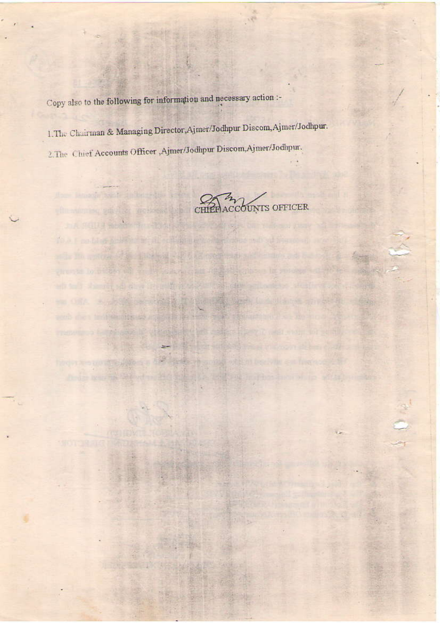Copy also to the following for information and necessary action :-

1. The Chairman & Managing Director, Ajmer/Jodhpur Discom, Ajmer/Jodhpur. 2. The Chief Accounts Officer, Ajmer/Jodhpur Discom, Ajmer/Jodhpur.

CHIEF ACCOUNTS OFFICER

Distance Company of the company